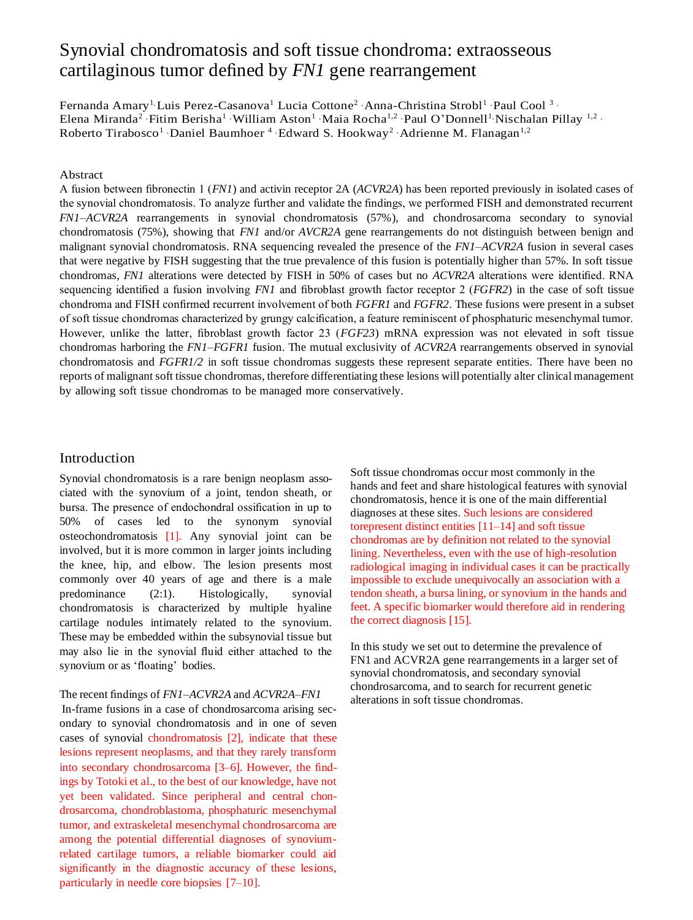# Synovial chondromatosis and soft tissue chondroma: extraosseous cartilaginous tumor defined by *FN1* gene rearrangement

Fernanda Amary<sup>1</sup> Luis Perez-Casanova<sup>1</sup> Lucia Cottone<sup>2</sup> Anna-Christina Strobl<sup>1</sup> Paul Cool<sup>3</sup> · Elena Miranda<sup>2</sup> · Fitim Berisha<sup>1</sup> · William Aston<sup>1</sup> · Maia Rocha<sup>1,2</sup> · Paul O'Donnell<sup>1</sup> · Nischalan Pillay <sup>1,2</sup> · Roberto Tirabosco<sup>1</sup> · Daniel Baumhoer<sup>4</sup> · Edward S. Hookway<sup>2</sup> · Adrienne M. Flanagan<sup>1,2</sup>

#### Abstract

A fusion between fibronectin 1 (*FN1*) and activin receptor 2A (*ACVR2A*) has been reported previously in isolated cases of the synovial chondromatosis. To analyze further and validate the findings, we performed FISH and demonstrated recurrent *FN1*–*ACVR2A* rearrangements in synovial chondromatosis (57%), and chondrosarcoma secondary to synovial chondromatosis (75%), showing that *FN1* and/or *AVCR2A* gene rearrangements do not distinguish between benign and malignant synovial chondromatosis. RNA sequencing revealed the presence of the *FN1*–*ACVR2A* fusion in several cases that were negative by FISH suggesting that the true prevalence of this fusion is potentially higher than 57%. In soft tissue chondromas, *FN1* alterations were detected by FISH in 50% of cases but no *ACVR2A* alterations were identified. RNA sequencing identified a fusion involving *FN1* and fibroblast growth factor receptor 2 (*FGFR2*) in the case of soft tissue chondroma and FISH confirmed recurrent involvement of both *FGFR1* and *FGFR2*. These fusions were present in a subset of soft tissue chondromas characterized by grungy calcification, a feature reminiscent of phosphaturic mesenchymal tumor. However, unlike the latter, fibroblast growth factor 23 (*FGF23*) mRNA expression was not elevated in soft tissue chondromas harboring the *FN1*–*FGFR1* fusion. The mutual exclusivity of *ACVR2A* rearrangements observed in synovial chondromatosis and *FGFR1/2* in soft tissue chondromas suggests these represent separate entities. There have been no reports of malignant soft tissue chondromas, therefore differentiating these lesions will potentially alter clinical management by allowing soft tissue chondromas to be managed more conservatively.

# Introduction

Synovial chondromatosis is a rare benign neoplasm associated with the synovium of a joint, tendon sheath, or bursa. The presence of endochondral ossification in up to 50% of cases led to the synonym synovial osteochondromatosis [\[1\]](#page-8-0). Any synovial joint can be involved, but it is more common in larger joints including the knee, hip, and elbow. The lesion presents most commonly over 40 years of age and there is a male predominance (2:1). Histologically, synovial chondromatosis is characterized by multiple hyaline cartilage nodules intimately related to the synovium. These may be embedded within the subsynovial tissue but may also lie in the synovial fluid either attached to the synovium or as 'floating' bodies.

#### The recent findings of *FN1–ACVR2A* and *ACVR2A–FN1*

In-frame fusions in a case of chondrosarcoma arising secondary to synovial chondromatosis and in one of seven cases of synovial chondromatosis [\[2\]](#page-8-1), indicate that these lesions represent neoplasms, and that they rarely transform into secondary chondrosarcoma [\[3](#page-8-2)[–6\]](#page-8-3). However, the findings by Totoki et al., to the best of our knowledge, have not yet been validated. Since peripheral and central chondrosarcoma, chondroblastoma, phosphaturic mesenchymal tumor, and extraskeletal mesenchymal chondrosarcoma are among the potential differential diagnoses of synoviumrelated cartilage tumors, a reliable biomarker could aid significantly in the diagnostic accuracy of these lesions, particularly in needle core biopsies [\[7–](#page-8-4)[10\]](#page-9-0).

Soft tissue chondromas occur most commonly in the hands and feet and share histological features with synovial chondromatosis, hence it is one of the main differential diagnoses at these sites. Such lesions are considered torepresent distinct entities [11–14] and soft tissue chondromas are by definition not related to the synovial lining. Nevertheless, even with the use of high-resolution radiological imaging in individual cases it can be practically impossible to exclude unequivocally an association with a tendon sheath, a bursa lining, or synovium in the hands and feet. A specific biomarker would therefore aid in rendering the correct diagnosis [15].

In this study we set out to determine the prevalence of FN1 and ACVR2A gene rearrangements in a larger set of synovial chondromatosis, and secondary synovial chondrosarcoma, and to search for recurrent genetic alterations in soft tissue chondromas.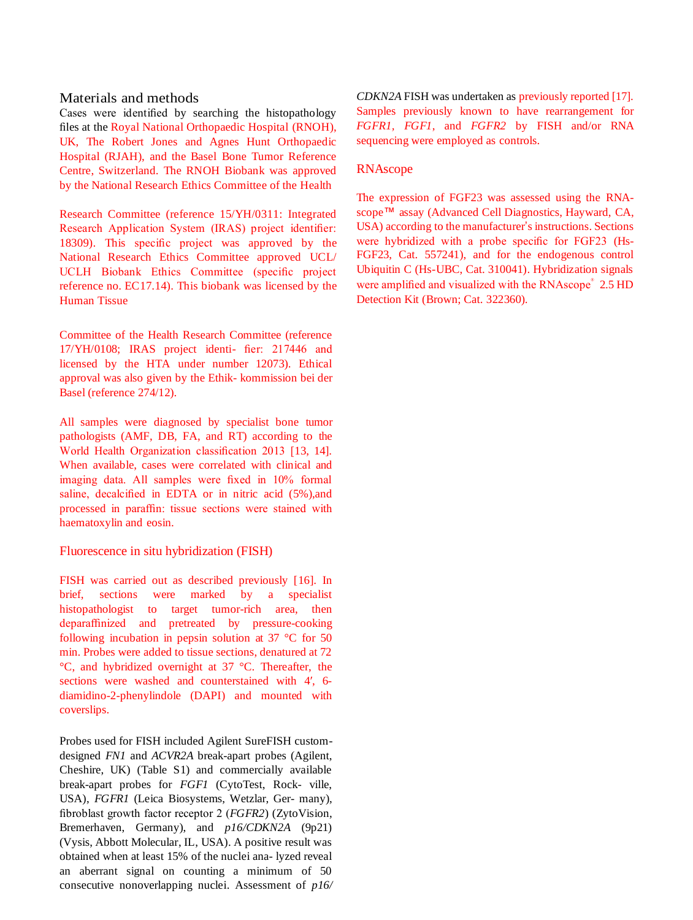# Materials and methods

Cases were identified by searching the histopathology files at the Royal National Orthopaedic Hospital (RNOH), UK, The Robert Jones and Agnes Hunt Orthopaedic Hospital (RJAH), and the Basel Bone Tumor Reference Centre, Switzerland. The RNOH Biobank was approved by the National Research Ethics Committee of the Health

Research Committee (reference 15/YH/0311: Integrated Research Application System (IRAS) project identifier: 18309). This specific project was approved by the National Research Ethics Committee approved UCL/ UCLH Biobank Ethics Committee (specific project reference no. EC17.14). This biobank was licensed by the Human Tissue

Committee of the Health Research Committee (reference 17/YH/0108; IRAS project identi- fier: 217446 and licensed by the HTA under number 12073). Ethical approval was also given by the Ethik- kommission bei der Basel (reference 274/12).

All samples were diagnosed by specialist bone tumor pathologists (AMF, DB, FA, and RT) according to the World Health Organization classification 2013 [\[13,](#page-9-1) [14\]](#page-9-2). When available, cases were correlated with clinical and imaging data. All samples were fixed in 10% formal saline, decalcified in EDTA or in nitric acid (5%), and processed in paraffin: tissue sections were stained with haematoxylin and eosin.

# Fluorescence in situ hybridization (FISH)

FISH was carried out as described previously [\[16\]](#page-9-3). In brief, sections were marked by a specialist histopathologist to target tumor-rich area, then deparaffinized and pretreated by pressure-cooking following incubation in pepsin solution at  $37 \degree$ C for  $50$ min. Probes were added to tissue sections, denatured at 72 °C, and hybridized overnight at 37 °C. Thereafter, the sections were washed and counterstained with 4', 6diamidino-2-phenylindole (DAPI) and mounted with coverslips.

Probes used for FISH included Agilent SureFISH customdesigned *FN1* and *ACVR2A* break-apart probes (Agilent, Cheshire, UK) (Table S1) and commercially available break-apart probes for *FGF1* (CytoTest, Rock- ville, USA), *FGFR1* (Leica Biosystems, Wetzlar, Ger- many), fibroblast growth factor receptor 2 (*FGFR2*) (ZytoVision, Bremerhaven, Germany), and *p16/CDKN2A* (9p21) (Vysis, Abbott Molecular, IL, USA). A positive result was obtained when at least 15% of the nuclei ana- lyzed reveal an aberrant signal on counting a minimum of 50 consecutive nonoverlapping nuclei. Assessment of *p16/*  *CDKN2A* FISH was undertaken as previously reported [\[17\]](#page-9-4). Samples previously known to have rearrangement for *FGFR1, FGF1*, and *FGFR2* by FISH and/or RNA sequencing were employed as controls.

# RNAscope

The expression of FGF23 was assessed using the RNAscope™ assay (Advanced Cell Diagnostics, Hayward, CA, USA) according to the manufacturer's instructions. Sections were hybridized with a probe specific for FGF23 (Hs-FGF23, Cat. 557241), and for the endogenous control Ubiquitin C (Hs-UBC, Cat. 310041). Hybridization signals were amplified and visualized with the RNAscope<sup>®</sup> 2.5 HD Detection Kit (Brown; Cat. 322360).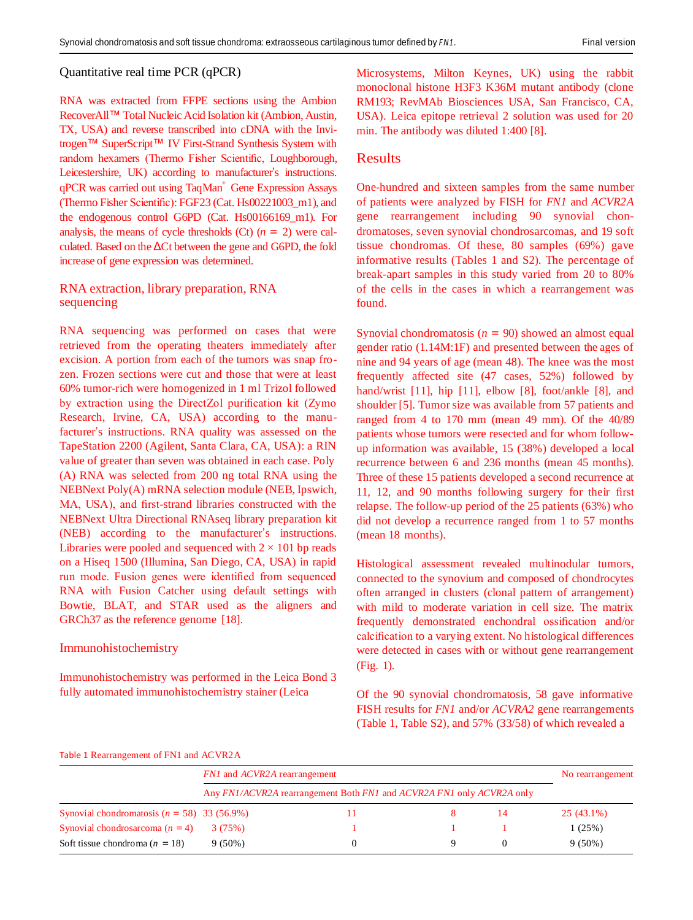## Quantitative real time PCR (qPCR)

RNA was extracted from FFPE sections using the Ambion RecoverAll™ Total Nucleic Acid Isolation kit (Ambion, Austin, TX, USA) and reverse transcribed into cDNA with the Invitrogen™ SuperScript™ IV First-Strand Synthesis System with random hexamers (Thermo Fisher Scientific, Loughborough, Leicestershire, UK) according to manufacturer's instructions. qPCR was carried out using TaqMan® Gene Expression Assays (Thermo Fisher Scientific): FGF23 (Cat. Hs00221003\_m1), and the endogenous control G6PD (Cat. Hs00166169\_m1). For analysis, the means of cycle thresholds  $(Ct)$   $(n = 2)$  were calculated. Based on the  $\Delta$ Ct between the gene and G6PD, the fold increase of gene expression was determined.

## RNA extraction, library preparation, RNA sequencing

RNA sequencing was performed on cases that were retrieved from the operating theaters immediately after excision. A portion from each of the tumors was snap frozen. Frozen sections were cut and those that were at least 60% tumor-rich were homogenized in 1 ml Trizol followed by extraction using the DirectZol purification kit (Zymo Research, Irvine, CA, USA) according to the manufacturer's instructions. RNA quality was assessed on the TapeStation 2200 (Agilent, Santa Clara, CA, USA): a RIN value of greater than seven was obtained in each case. Poly (A) RNA was selected from 200 ng total RNA using the NEBNext Poly(A) mRNA selection module (NEB, Ipswich, MA, USA), and first-strand libraries constructed with the NEBNext Ultra Directional RNAseq library preparation kit (NEB) according to the manufacturer's instructions. Libraries were pooled and sequenced with  $2 \times 101$  bp reads on a Hiseq 1500 (Illumina, San Diego, CA, USA) in rapid run mode. Fusion genes were identified from sequenced RNA with Fusion Catcher using default settings with Bowtie, BLAT, and STAR used as the aligners and GRCh37 as the reference genome [\[18\]](#page-9-0).

#### Immunohistochemistry

Immunohistochemistry was performed in the Leica Bond 3 fully automated immunohistochemistry stainer (Leica

Microsystems, Milton Keynes, UK) using the rabbit monoclonal histone H3F3 K36M mutant antibody (clone RM193; RevMAb Biosciences USA, San Francisco, CA, USA). Leica epitope retrieval 2 solution was used for 20 min. The antibody was diluted 1:400 [\[8\]](#page-8-5).

## Results

One-hundred and sixteen samples from the same number of patients were analyzed by FISH for *FN1* and *ACVR2A*  gene rearrangement including 90 synovial chondromatoses, seven synovial chondrosarcomas, and 19 soft tissue chondromas. Of these, 80 samples (69%) gave informative results (Tables [1 a](#page-2-0)nd S2). The percentage of break-apart samples in this study varied from 20 to 80% of the cells in the cases in which a rearrangement was found.

Synovial chondromatosis (*n* = 90) showed an almost equal gender ratio (1.14M:1F) and presented between the ages of nine and 94 years of age (mean 48). The knee was the most frequently affected site (47 cases, 52%) followed by hand/wrist [\[11\]](#page-9-5), hip [11], elbow [\[8\]](#page-8-5), foot/ankle [8], and shoulder [\[5\]](#page-8-6). Tumor size was available from 57 patients and ranged from 4 to 170 mm (mean 49 mm). Of the 40/89 patients whose tumors were resected and for whom followup information was available, 15 (38%) developed a local recurrence between 6 and 236 months (mean 45 months). Three of these 15 patients developed a second recurrence at 11, 12, and 90 months following surgery for their first relapse. The follow-up period of the 25 patients (63%) who did not develop a recurrence ranged from 1 to 57 months (mean 18 months).

Histological assessment revealed multinodular tumors, connected to the synovium and composed of chondrocytes often arranged in clusters (clonal pattern of arrangement) with mild to moderate variation in cell size. The matrix frequently demonstrated enchondral ossification and/or calcification to a varying extent. No histological differences were detected in cases with or without gene rearrangement (Fig. [1\)](#page-3-0).

Of the 90 synovial chondromatosis, 58 gave informative FISH results for *FN1* and/or *ACVRA2* gene rearrangements (Tabl[e 1,](#page-2-0) Table S2), and 57% (33/58) of which revealed a

#### <span id="page-2-0"></span>Table 1 Rearrangement of FN1 and ACVR2A

|                                               | <i>FNI</i> and <i>ACVR2A</i> rearrangement |                                                                       |  | No rearrangement |  |  |  |
|-----------------------------------------------|--------------------------------------------|-----------------------------------------------------------------------|--|------------------|--|--|--|
|                                               |                                            | Any FN1/ACVR2A rearrangement Both FN1 and ACVR2A FN1 only ACVR2A only |  |                  |  |  |  |
| Synovial chondromatosis $(n = 58)$ 33 (56.9%) |                                            |                                                                       |  | $25(43.1\%)$     |  |  |  |
| Synovial chondrosarcoma $(n = 4)$             | 3(75%)                                     |                                                                       |  | 1(25%)           |  |  |  |
| Soft tissue chondroma ( $n = 18$ )            | $9(50\%)$                                  |                                                                       |  | $9(50\%)$        |  |  |  |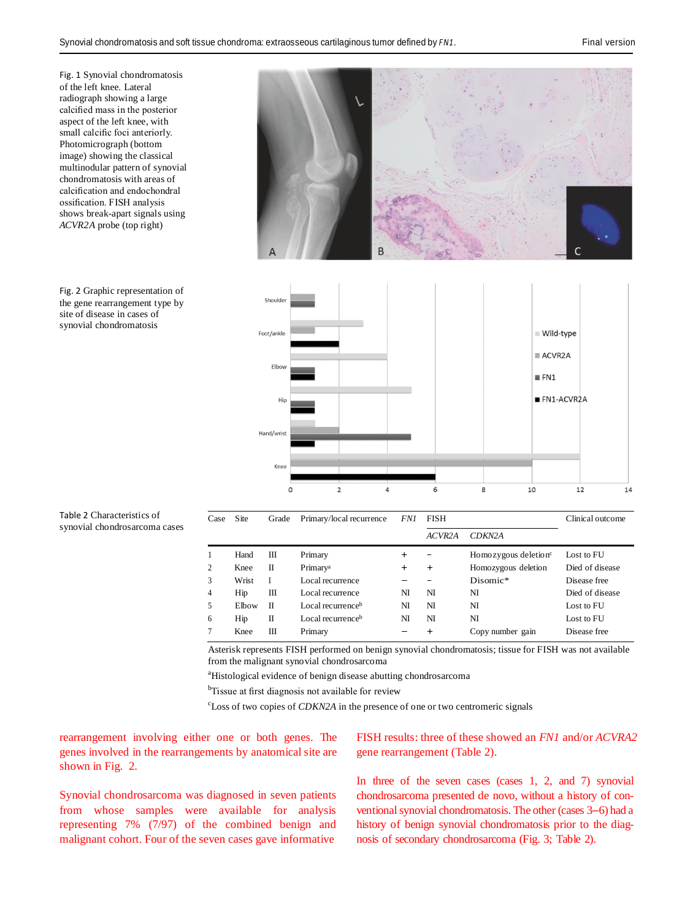<span id="page-3-0"></span>Fig. 1 Synovial chondromatosis of the left knee. Lateral radiograph showing a large calcified mass in the posterior aspect of the left knee, with small calcific foci anteriorly. Photomicrograph (bottom image) showing the classical multinodular pattern of synovial chondromatosis with areas of calcification and endochondral ossification. FISH analysis shows break-apart signals using *ACVR2A* probe (top right)

<span id="page-3-1"></span>Fig. 2 Graphic representation of the gene rearrangement type by site of disease in cases of synovial chondromatosis



<span id="page-3-2"></span>

| Table 2 Characteristics of    |  |
|-------------------------------|--|
| synovial chondrosarcoma cases |  |

| Case | Site  | Grade | Primary/local recurrence      | <i>FN1</i> | <b>FISH</b> |                                  | Clinical outcome |
|------|-------|-------|-------------------------------|------------|-------------|----------------------------------|------------------|
|      |       |       |                               |            | ACVR2A      | CDKN2A                           |                  |
|      | Hand  | Ш     | Primary                       | $\pm$      |             | Homozygous deletion <sup>c</sup> | Lost to FU       |
| 2    | Knee  | П     | Primary <sup>a</sup>          | $\pm$      | $\pm$       | Homozygous deletion              | Died of disease  |
| 3    | Wrist |       | Local recurrence              |            |             | Disomic*                         | Disease free     |
| 4    | Hip   | Ш     | Local recurrence              | NI         | NI          | NI                               | Died of disease  |
| 5    | Elbow | П     | Local recurrence <sup>b</sup> | NI         | NI          | NI                               | Lost to FU       |
| 6    | Hip   | П     | Local recurrence <sup>b</sup> | NI         | NI          | NI                               | Lost to FU       |
|      | Knee  | Ш     | Primary                       |            |             | Copy number gain                 | Disease free     |

Asterisk represents FISH performed on benign synovial chondromatosis; tissue for FISH was not available from the malignant synovial chondrosarcoma

<sup>a</sup>Histological evidence of benign disease abutting chondrosarcoma

<sup>b</sup>Tissue at first diagnosis not available for review

<sup>c</sup>Loss of two copies of *CDKN2A* in the presence of one or two centromeric signals

rearrangement involving either one or both genes. The genes involved in the rearrangements by anatomical site are shown in Fig. [2.](#page-3-1)

Synovial chondrosarcoma was diagnosed in seven patients from whose samples were available for analysis representing 7% (7/97) of the combined benign and malignant cohort. Four of the seven cases gave informative

FISH results: three of these showed an *FN1* and/or *ACVRA2*  gene rearrangement (Table [2\)](#page-3-2).

In three of the seven cases (cases 1, 2, and 7) synovial chondrosarcoma presented de novo, without a history of conventional synovial chondromatosis. The other (cases 3–6) had a history of benign synovial chondromatosis prior to the diagnosis of secondary chondrosarcoma (Fig. [3;](#page-4-0) Table [2\)](#page-3-2).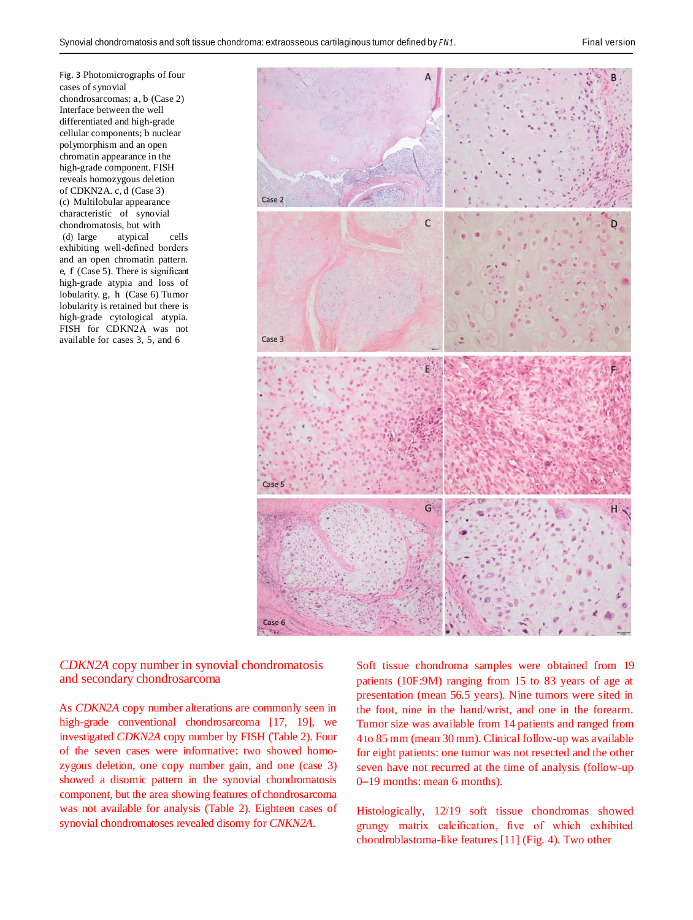<span id="page-4-0"></span>Fig. 3 Photomicrographs of four cases of synovial chondrosarcomas: a, b (Case 2) Interface between the well

differentiated and high-grade cellular components; b nuclear polymorphism and an open chromatin appearance in the high-grade component. FISH reveals homozygous deletion of CDKN2A. c, d (Case 3) (c) Multilobular appearance characteristic of synovial chondromatosis, but with<br>(d) large atvoical (d) large atypical cells exhibiting well-defined borders and an open chromatin pattern. e, f (Case 5). There is significant high-grade atypia and loss of lobularity. g, h (Case 6) Tumor lobularity is retained but there is high-grade cytological atypia. FISH for CDKN2A was not available for cases 3, 5, and 6



*CDKN2A* copy number in synovial chondromatosis and secondary chondrosarcoma

As *CDKN2A* copy number alterations are commonly seen in high-grade conventional chondrosarcoma [\[17,](#page-9-4) [19\]](#page-9-6), we investigated *CDKN2A* copy number by FISH (Tabl[e 2\)](#page-3-2). Four of the seven cases were informative: two showed homozygous deletion, one copy number gain, and one (case 3) showed a disomic pattern in the synovial chondromatosis component, but the area showing features of chondrosarcoma was not available for analysis (Table [2\)](#page-3-2). Eighteen cases of synovial chondromatoses revealed disomy for *CNKN2A*.

Soft tissue chondroma samples were obtained from 19 patients (10F:9M) ranging from 15 to 83 years of age at presentation (mean 56.5 years). Nine tumors were sited in the foot, nine in the hand/wrist, and one in the forearm. Tumor size was available from 14 patients and ranged from 4 to 85 mm (mean 30 mm). Clinical follow-up was available for eight patients: one tumor was not resected and the other seven have not recurred at the time of analysis (follow-up 0–19 months: mean 6 months).

Histologically, 12/19 soft tissue chondromas showed grungy matrix calcification, five of which exhibited chondroblastoma-like features [\[11\]](#page-9-5) (Fig. [4\)](#page-5-0). Two other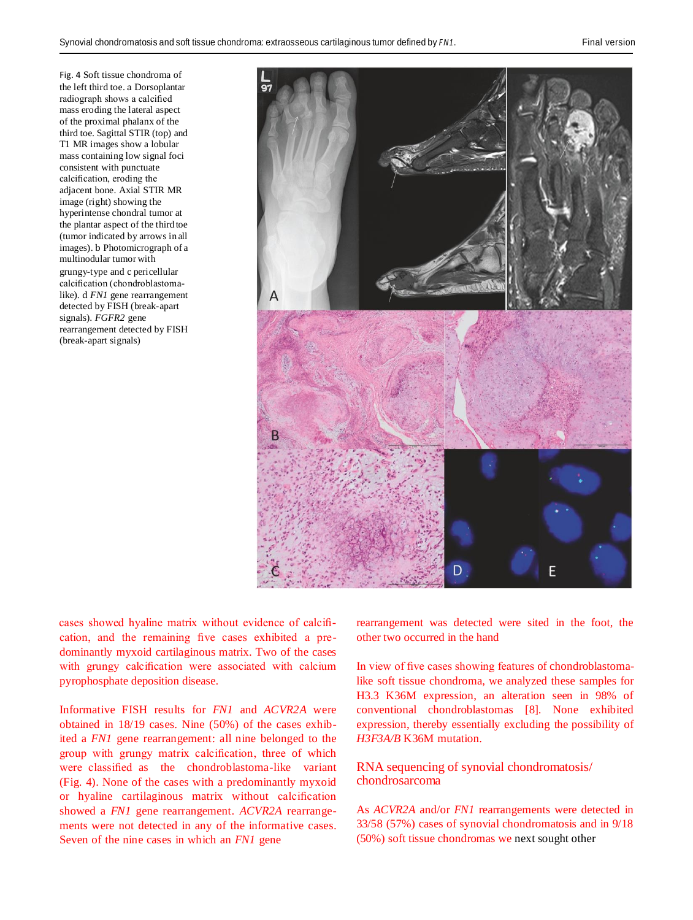<span id="page-5-0"></span>Fig. 4 Soft tissue chondroma of the left third toe. a Dorsoplantar radiograph shows a calcified mass eroding the lateral aspect of the proximal phalanx of the third toe. Sagittal STIR (top) and T1 MR images show a lobular mass containing low signal foci consistent with punctuate calcification, eroding the adjacent bone. Axial STIR MR image (right) showing the hyperintense chondral tumor at the plantar aspect of the third toe (tumor indicated by arrows in all images). b Photomicrograph of a multinodular tumor with grungy-type and c pericellular calcification (chondroblastomalike). d *FN1* gene rearrangement detected by FISH (break-apart signals). *FGFR2* gene rearrangement detected by FISH (break-apart signals)



cases showed hyaline matrix without evidence of calcification, and the remaining five cases exhibited a predominantly myxoid cartilaginous matrix. Two of the cases with grungy calcification were associated with calcium pyrophosphate deposition disease.

Informative FISH results for *FN1* and *ACVR2A* were obtained in 18/19 cases. Nine (50%) of the cases exhibited a *FN1* gene rearrangement: all nine belonged to the group with grungy matrix calcification, three of which were classified as the chondroblastoma-like variant (Fig. [4\)](#page-5-0). None of the cases with a predominantly myxoid or hyaline cartilaginous matrix without calcification showed a *FN1* gene rearrangement. *ACVR2A* rearrangements were not detected in any of the informative cases. Seven of the nine cases in which an *FN1* gene

rearrangement was detected were sited in the foot, the other two occurred in the hand

In view of five cases showing features of chondroblastomalike soft tissue chondroma, we analyzed these samples for H3.3 K36M expression, an alteration seen in 98% of conventional chondroblastomas [\[8\]](#page-8-5). None exhibited expression, thereby essentially excluding the possibility of *H3F3A/B* K36M mutation.

# RNA sequencing of synovial chondromatosis/ chondrosarcoma

As *ACVR2A* and/or *FN1* rearrangements were detected in 33/58 (57%) cases of synovial chondromatosis and in 9/18 (50%) soft tissue chondromas we next sought other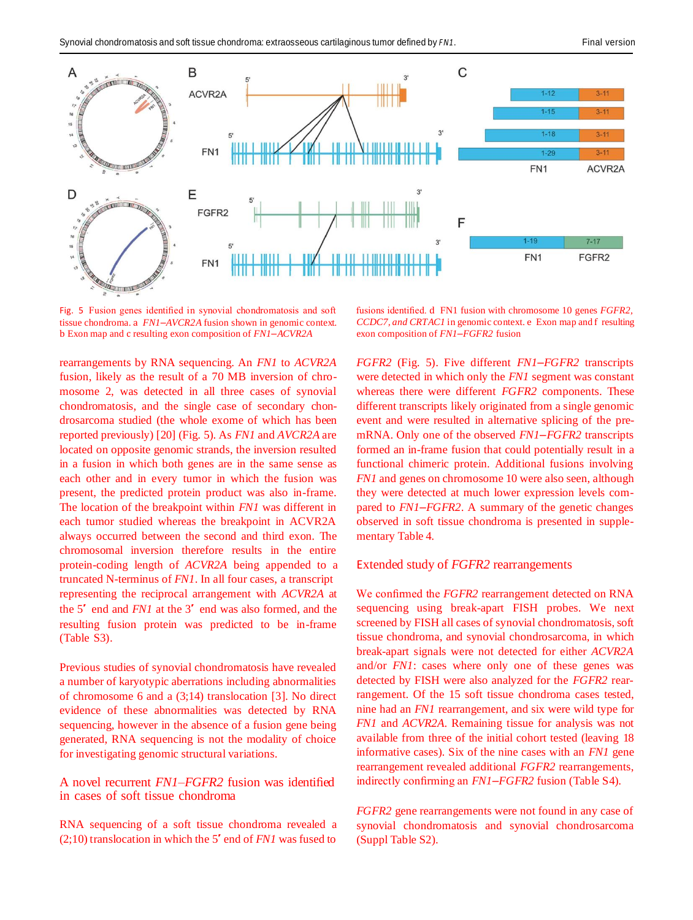

<span id="page-6-0"></span>Fig. 5 Fusion genes identified in synovial chondromatosis and soft tissue chondroma. a *FN1*–*AVCR2A* fusion shown in genomic context. b Exon map and c resulting exon composition of *FN1*–*ACVR2A*

rearrangements by RNA sequencing. An *FN1* to *ACVR2A*  fusion, likely as the result of a 70 MB inversion of chromosome 2, was detected in all three cases of synovial chondromatosis, and the single case of secondary chondrosarcoma studied (the whole exome of which has been reported previously) [\[20\]](#page-9-7) (Fig. [5\)](#page-6-0). As *FN1* and *AVCR2A* are located on opposite genomic strands, the inversion resulted in a fusion in which both genes are in the same sense as each other and in every tumor in which the fusion was present, the predicted protein product was also in-frame. The location of the breakpoint within *FN1* was different in each tumor studied whereas the breakpoint in ACVR2A always occurred between the second and third exon. The chromosomal inversion therefore results in the entire protein-coding length of *ACVR2A* being appended to a truncated N-terminus of *FN1*. In all four cases, a transcript representing the reciprocal arrangement with *ACVR2A* at the 5′ end and *FN1* at the 3′ end was also formed, and the resulting fusion protein was predicted to be in-frame (Table S3).

Previous studies of synovial chondromatosis have revealed a number of karyotypic aberrations including abnormalities of chromosome 6 and a (3;14) translocation [\[3\]](#page-8-2). No direct evidence of these abnormalities was detected by RNA sequencing, however in the absence of a fusion gene being generated, RNA sequencing is not the modality of choice for investigating genomic structural variations.

# A novel recurrent *FN1*–*FGFR2* fusion was identified in cases of soft tissue chondroma

RNA sequencing of a soft tissue chondroma revealed a (2;10) translocation in which the 5′ end of *FN1* was fused to

fusions identified. d FN1 fusion with chromosome 10 genes *FGFR2, CCDC7, and CRTAC1* in genomic context. e Exon map and f resulting exon composition of *FN1*–*FGFR2* fusion

*FGFR2* (Fig. [5\)](#page-6-0). Five different *FN1*–*FGFR2* transcripts were detected in which only the *FN1* segment was constant whereas there were different *FGFR2* components. These different transcripts likely originated from a single genomic event and were resulted in alternative splicing of the premRNA. Only one of the observed *FN1*–*FGFR2* transcripts formed an in-frame fusion that could potentially result in a functional chimeric protein. Additional fusions involving *FN1* and genes on chromosome 10 were also seen, although they were detected at much lower expression levels compared to *FN1*–*FGFR2*. A summary of the genetic changes observed in soft tissue chondroma is presented in supplementary Table 4.

#### Extended study of *FGFR2* rearrangements

We confirmed the *FGFR2* rearrangement detected on RNA sequencing using break-apart FISH probes. We next screened by FISH all cases of synovial chondromatosis, soft tissue chondroma, and synovial chondrosarcoma, in which break-apart signals were not detected for either *ACVR2A*  and/or *FN1*: cases where only one of these genes was detected by FISH were also analyzed for the *FGFR2* rearrangement. Of the 15 soft tissue chondroma cases tested, nine had an *FN1* rearrangement, and six were wild type for *FN1* and *ACVR2A*. Remaining tissue for analysis was not available from three of the initial cohort tested (leaving 18 informative cases). Six of the nine cases with an *FN1* gene rearrangement revealed additional *FGFR2* rearrangements, indirectly confirming an *FN1*–*FGFR2* fusion (Table S4).

*FGFR2* gene rearrangements were not found in any case of synovial chondromatosis and synovial chondrosarcoma (Suppl Table S2).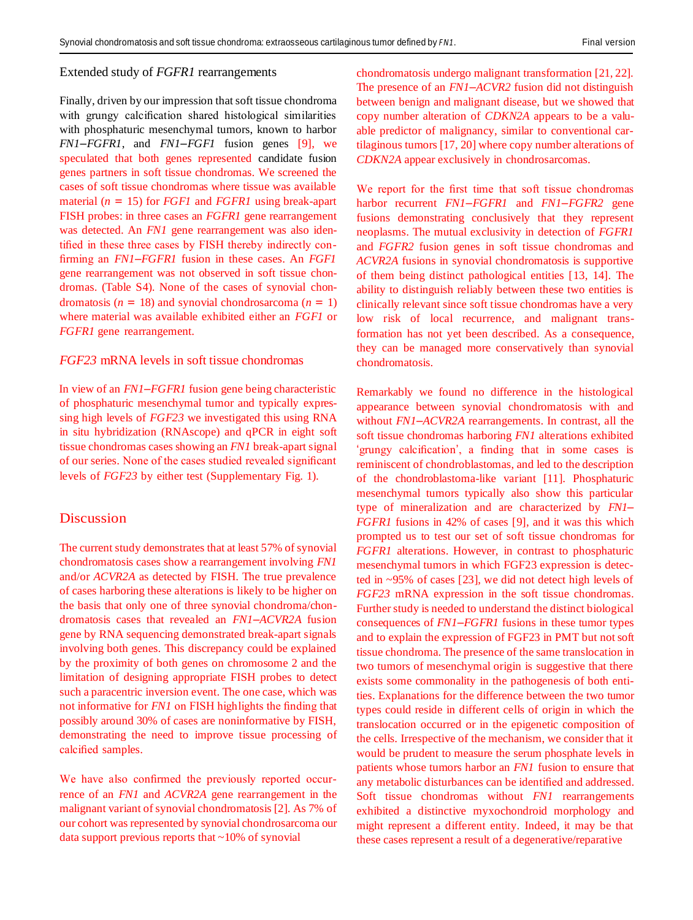#### Extended study of *FGFR1* rearrangements

Finally, driven by our impression that soft tissue chondroma with grungy calcification shared histological similarities with phosphaturic mesenchymal tumors, known to harbor *FN1*–*FGFR1*, and *FN1*–*FGF1* fusion genes [\[9\]](#page-8-7), we speculated that both genes represented candidate fusion genes partners in soft tissue chondromas. We screened the cases of soft tissue chondromas where tissue was available material (*n* = 15) for *FGF1* and *FGFR1* using break-apart FISH probes: in three cases an *FGFR1* gene rearrangement was detected. An *FN1* gene rearrangement was also identified in these three cases by FISH thereby indirectly confirming an *FN1*–*FGFR1* fusion in these cases. An *FGF1*  gene rearrangement was not observed in soft tissue chondromas. (Table S4). None of the cases of synovial chondromatosis (*n* = 18) and synovial chondrosarcoma (*n* = 1) where material was available exhibited either an *FGF1* or *FGFR1* gene rearrangement.

#### *FGF23* mRNA levels in soft tissue chondromas

In view of an *FN1*–*FGFR1* fusion gene being characteristic of phosphaturic mesenchymal tumor and typically expressing high levels of *FGF23* we investigated this using RNA in situ hybridization (RNAscope) and qPCR in eight soft tissue chondromas cases showing an *FN1* break-apart signal of our series. None of the cases studied revealed significant levels of *FGF23* by either test (Supplementary Fig. 1).

# Discussion

The current study demonstrates that at least 57% of synovial chondromatosis cases show a rearrangement involving *FN1*  and/or *ACVR2A* as detected by FISH. The true prevalence of cases harboring these alterations is likely to be higher on the basis that only one of three synovial chondroma/chondromatosis cases that revealed an *FN1*–*ACVR2A* fusion gene by RNA sequencing demonstrated break-apart signals involving both genes. This discrepancy could be explained by the proximity of both genes on chromosome 2 and the limitation of designing appropriate FISH probes to detect such a paracentric inversion event. The one case, which was not informative for *FN1* on FISH highlights the finding that possibly around 30% of cases are noninformative by FISH, demonstrating the need to improve tissue processing of calcified samples.

We have also confirmed the previously reported occurrence of an *FN1* and *ACVR2A* gene rearrangement in the malignant variant of synovial chondromatosis [\[2\]](#page-8-1). As 7% of our cohort was represented by synovial chondrosarcoma our data support previous reports that ~10% of synovial

chondromatosis undergo malignant transformation [\[21,](#page-9-8) [22\]](#page-9-9). The presence of an *FN1*–*ACVR2* fusion did not distinguish between benign and malignant disease, but we showed that copy number alteration of *CDKN2A* appears to be a valuable predictor of malignancy, similar to conventional cartilaginous tumors [\[17,](#page-9-4) [20\]](#page-9-7) where copy number alterations of *CDKN2A* appear exclusively in chondrosarcomas.

We report for the first time that soft tissue chondromas harbor recurrent *FN1*–*FGFR1* and *FN1*–*FGFR2* gene fusions demonstrating conclusively that they represent neoplasms. The mutual exclusivity in detection of *FGFR1*  and *FGFR2* fusion genes in soft tissue chondromas and *ACVR2A* fusions in synovial chondromatosis is supportive of them being distinct pathological entities [\[13,](#page-9-1) [14\]](#page-9-2). The ability to distinguish reliably between these two entities is clinically relevant since soft tissue chondromas have a very low risk of local recurrence, and malignant transformation has not yet been described. As a consequence, they can be managed more conservatively than synovial chondromatosis.

Remarkably we found no difference in the histological appearance between synovial chondromatosis with and without *FN1*–*ACVR2A* rearrangements. In contrast, all the soft tissue chondromas harboring *FN1* alterations exhibited 'grungy calcification', a finding that in some cases is reminiscent of chondroblastomas, and led to the description of the chondroblastoma-like variant [\[11\]](#page-9-5). Phosphaturic mesenchymal tumors typically also show this particular type of mineralization and are characterized by *FN1*– *FGFR1* fusions in 42% of cases [\[9\]](#page-8-7), and it was this which prompted us to test our set of soft tissue chondromas for *FGFR1* alterations. However, in contrast to phosphaturic mesenchymal tumors in which FGF23 expression is detected in ~95% of cases [\[23\]](#page-9-10), we did not detect high levels of *FGF23* mRNA expression in the soft tissue chondromas. Further study is needed to understand the distinct biological consequences of *FN1*–*FGFR1* fusions in these tumor types and to explain the expression of FGF23 in PMT but not soft tissue chondroma. The presence of the same translocation in two tumors of mesenchymal origin is suggestive that there exists some commonality in the pathogenesis of both entities. Explanations for the difference between the two tumor types could reside in different cells of origin in which the translocation occurred or in the epigenetic composition of the cells. Irrespective of the mechanism, we consider that it would be prudent to measure the serum phosphate levels in patients whose tumors harbor an *FN1* fusion to ensure that any metabolic disturbances can be identified and addressed. Soft tissue chondromas without *FN1* rearrangements exhibited a distinctive myxochondroid morphology and might represent a different entity. Indeed, it may be that these cases represent a result of a degenerative/reparative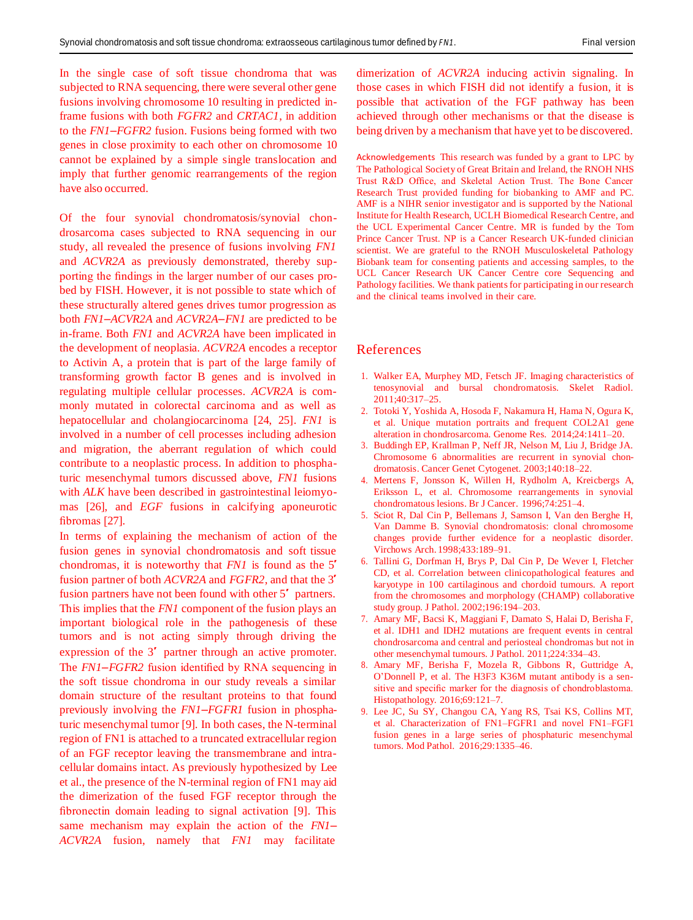In the single case of soft tissue chondroma that was subjected to RNA sequencing, there were several other gene fusions involving chromosome 10 resulting in predicted inframe fusions with both *FGFR2* and *CRTAC1*, in addition to the *FN1*–*FGFR2* fusion. Fusions being formed with two genes in close proximity to each other on chromosome 10 cannot be explained by a simple single translocation and imply that further genomic rearrangements of the region have also occurred.

Of the four synovial chondromatosis/synovial chondrosarcoma cases subjected to RNA sequencing in our study, all revealed the presence of fusions involving *FN1*  and *ACVR2A* as previously demonstrated, thereby supporting the findings in the larger number of our cases probed by FISH. However, it is not possible to state which of these structurally altered genes drives tumor progression as both *FN1*–*ACVR2A* and *ACVR2A*–*FN1* are predicted to be in-frame. Both *FN1* and *ACVR2A* have been implicated in the development of neoplasia. *ACVR2A* encodes a receptor to Activin A, a protein that is part of the large family of transforming growth factor B genes and is involved in regulating multiple cellular processes. *ACVR2A* is commonly mutated in colorectal carcinoma and as well as hepatocellular and cholangiocarcinoma [\[24,](#page-9-11) [25\]](#page-9-12). *FN1* is involved in a number of cell processes including adhesion and migration, the aberrant regulation of which could contribute to a neoplastic process. In addition to phosphaturic mesenchymal tumors discussed above, *FN1* fusions with *ALK* have been described in gastrointestinal leiomyomas [\[26\]](#page-9-13), and *EGF* fusions in calcifying aponeurotic fibromas [\[27\]](#page-9-14).

<span id="page-8-2"></span>In terms of explaining the mechanism of action of the fusion genes in synovial chondromatosis and soft tissue chondromas, it is noteworthy that *FN1* is found as the 5′ fusion partner of both *ACVR2A* and *FGFR2*, and that the 3′ fusion partners have not been found with other 5<sup>'</sup> partners. This implies that the *FN1* component of the fusion plays an important biological role in the pathogenesis of these tumors and is not acting simply through driving the expression of the 3′ partner through an active promoter. The *FN1*–*FGFR2* fusion identified by RNA sequencing in the soft tissue chondroma in our study reveals a similar domain structure of the resultant proteins to that found previously involving the *FN1*–*FGFR1* fusion in phosphaturic mesenchymal tumor [\[9\]](#page-8-7). In both cases, the N-terminal region of FN1 is attached to a truncated extracellular region of an FGF receptor leaving the transmembrane and intracellular domains intact. As previously hypothesized by Lee et al., the presence of the N-terminal region of FN1 may aid the dimerization of the fused FGF receptor through the fibronectin domain leading to signal activation [\[9\]](#page-8-7). This same mechanism may explain the action of the *FN1*– *ACVR2A* fusion, namely that *FN1* may facilitate

dimerization of *ACVR2A* inducing activin signaling. In those cases in which FISH did not identify a fusion, it is possible that activation of the FGF pathway has been achieved through other mechanisms or that the disease is being driven by a mechanism that have yet to be discovered.

Acknowledgements This research was funded by a grant to LPC by The Pathological Society of Great Britain and Ireland, the RNOH NHS Trust R&D Office, and Skeletal Action Trust. The Bone Cancer Research Trust provided funding for biobanking to AMF and PC. AMF is a NIHR senior investigator and is supported by the National Institute for Health Research, UCLH Biomedical Research Centre, and the UCL Experimental Cancer Centre. MR is funded by the Tom Prince Cancer Trust. NP is a Cancer Research UK-funded clinician scientist. We are grateful to the RNOH Musculoskeletal Pathology Biobank team for consenting patients and accessing samples, to the UCL Cancer Research UK Cancer Centre core Sequencing and Pathology facilities. We thank patients for participating in our research and the clinical teams involved in their care.

#### References

- 1. Walker EA, Murphey MD, Fetsch JF. Imaging characteristics of tenosynovial and bursal chondromatosis. Skelet Radiol. 2011;40:317–25.
- 2. Totoki Y, Yoshida A, Hosoda F, Nakamura H, Hama N, Ogura K, et al. Unique mutation portraits and frequent COL2A1 gene alteration in chondrosarcoma. Genome Res. 2014;24:1411–20.
- <span id="page-8-0"></span>3. Buddingh EP, Krallman P, Neff JR, Nelson M, Liu J, Bridge JA. Chromosome 6 abnormalities are recurrent in synovial chondromatosis. Cancer Genet Cytogenet. 2003;140:18–22.
- <span id="page-8-1"></span>4. Mertens F, Jonsson K, Willen H, Rydholm A, Kreicbergs A, Eriksson L, et al. Chromosome rearrangements in synovial chondromatous lesions. Br J Cancer. 1996;74:251–4.
- 5. Sciot R, Dal Cin P, Bellemans J, Samson I, Van den Berghe H, Van Damme B. Synovial chondromatosis: clonal chromosome changes provide further evidence for a neoplastic disorder. Virchows Arch. 1998;433:189–91.
- <span id="page-8-6"></span>6. Tallini G, Dorfman H, Brys P, Dal Cin P, De Wever I, Fletcher CD, et al. Correlation between clinicopathological features and karyotype in 100 cartilaginous and chordoid tumours. A report from the chromosomes and morphology (CHAMP) collaborative study group. J Pathol. 2002;196:194–203.
- <span id="page-8-3"></span>7. Amary MF, Bacsi K, Maggiani F, Damato S, Halai D, Berisha F, et al. IDH1 and IDH2 mutations are frequent events in central chondrosarcoma and central and periosteal chondromas but not in other mesenchymal tumours. J Pathol. 2011;224:334–43.
- 8. Amary MF, Berisha F, Mozela R, Gibbons R, Guttridge A, O'Donnell P, et al. The H3F3 K36M mutant antibody is a sensitive and specific marker for the diagnosis of chondroblastoma. Histopathology. 2016;69:121–7.
- <span id="page-8-7"></span><span id="page-8-5"></span><span id="page-8-4"></span>9. Lee JC, Su SY, Changou CA, Yang RS, Tsai KS, Collins MT, et al. Characterization of FN1–FGFR1 and novel FN1–FGF1 fusion genes in a large series of phosphaturic mesenchymal tumors. Mod Pathol. 2016;29:1335–46.